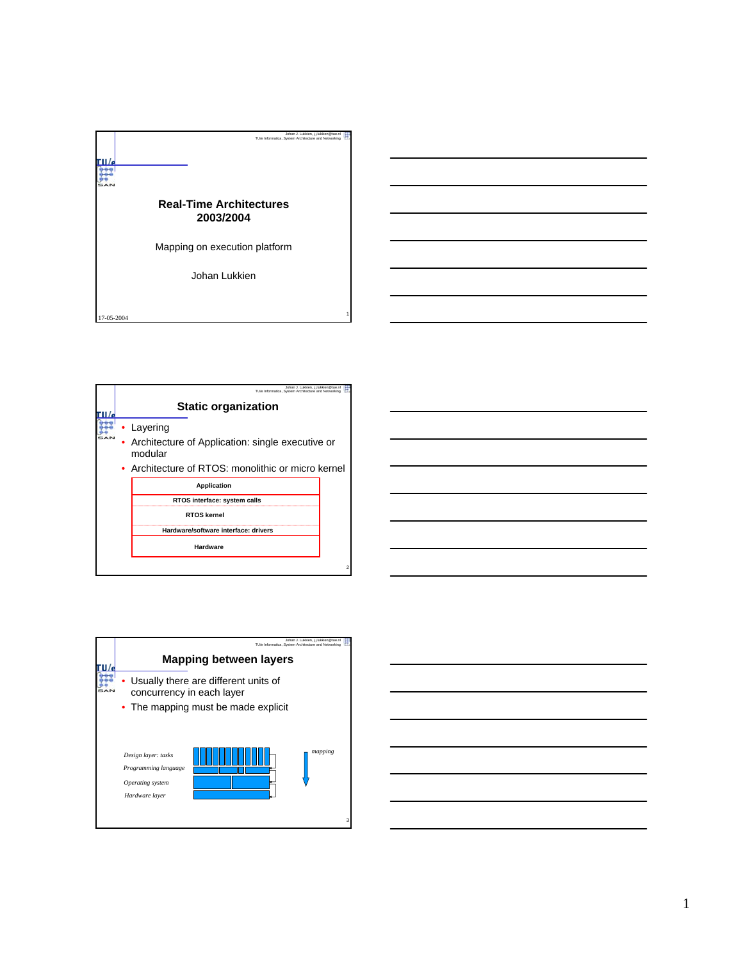

| Johan J. Lukkien, i.i.lukkien@tue.nl<br>TU/e Informatica, System Architecture and Networking                                  |   |
|-------------------------------------------------------------------------------------------------------------------------------|---|
| <b>Static organization</b>                                                                                                    |   |
| Layering<br>Architecture of Application: single executive or<br>modular<br>• Architecture of RTOS: monolithic or micro kernel |   |
| <b>Application</b>                                                                                                            |   |
| RTOS interface: system calls                                                                                                  |   |
| <b>RTOS kernel</b>                                                                                                            |   |
| Hardware/software interface: drivers                                                                                          |   |
| Hardware                                                                                                                      |   |
|                                                                                                                               | 2 |

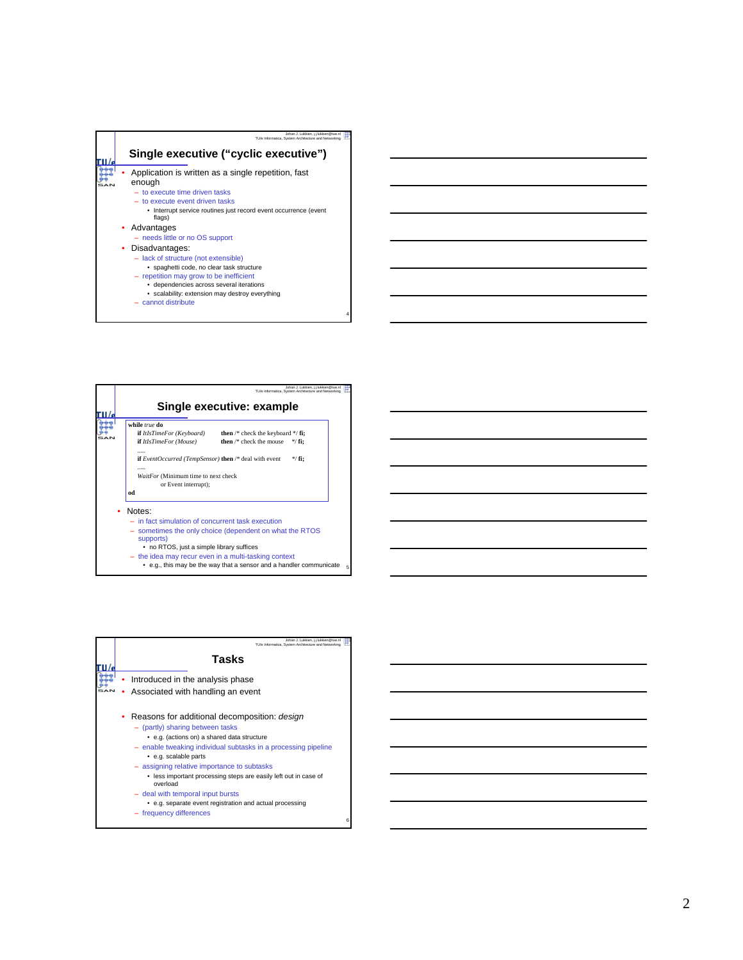

4

5

– cannot distribute

| Johan J. Lukkien, i.i.lukkien@tue.nl<br>TU/e Informatica, System Architecture and Networking<br>Single executive: example                                                                                                                                                                                                   |
|-----------------------------------------------------------------------------------------------------------------------------------------------------------------------------------------------------------------------------------------------------------------------------------------------------------------------------|
| while true do<br>then $/*$ check the keyboard $*/$ fi;<br><b>if</b> ItIsTimeFor (Keyboard)<br>then /* check the mouse<br><b>if</b> ItIsTimeFor (Mouse)<br>$*$ / fi:<br><b>if</b> EventOccurred (TempSensor) <b>then</b> /* deal with event<br>$*/$ fi:<br>WaitFor (Minimum time to next check<br>or Event interrupt);<br>od |
| Notes:<br>$-$ in fact simulation of concurrent task execution<br>- sometimes the only choice (dependent on what the RTOS<br>supports)<br>• no RTOS, just a simple library suffices<br>also a distance conservation of the conservation of the conservation of the conservation of the conservation of                       |

- the idea may recur even in a multi-tasking context e.g., this may be the way that a sensor and a handler communicate
- 

| Johan J. Lukkien, i.i.lukkien@tue.n<br>TU/e Informatica. System Architecture and Networking                                                                                                                                                                               |
|---------------------------------------------------------------------------------------------------------------------------------------------------------------------------------------------------------------------------------------------------------------------------|
| Tasks                                                                                                                                                                                                                                                                     |
| Introduced in the analysis phase                                                                                                                                                                                                                                          |
| Associated with handling an event                                                                                                                                                                                                                                         |
| Reasons for additional decomposition: design<br>- (partly) sharing between tasks<br>• e.g. (actions on) a shared data structure<br>- enable tweaking individual subtasks in a processing pipeline<br>• e.g. scalable parts<br>- assigning relative importance to subtasks |
| • less important processing steps are easily left out in case of<br>overload                                                                                                                                                                                              |
| - deal with temporal input bursts                                                                                                                                                                                                                                         |
| • e.g. separate event registration and actual processing<br>frequency differences<br>6                                                                                                                                                                                    |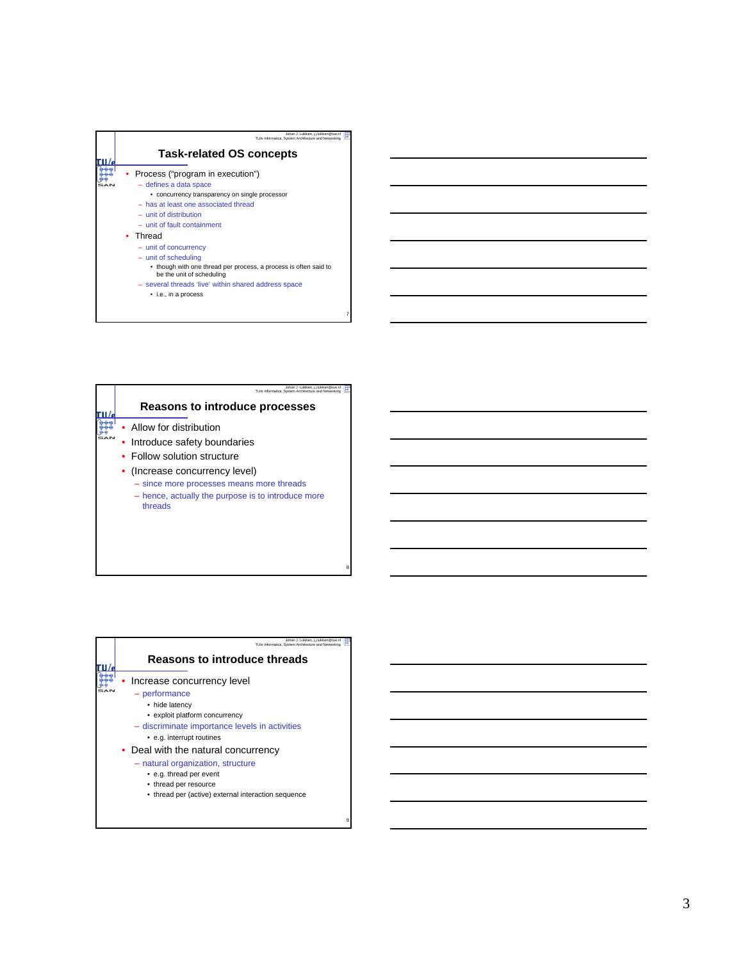

|  | Johan J. Lukkien, j.j.lukkien@tue.nl<br>TU/e Informatica, System Architecture and Networking |
|--|----------------------------------------------------------------------------------------------|
|  | Reasons to introduce processes                                                               |
|  | • Allow for distribution                                                                     |
|  | Introduce safety boundaries                                                                  |
|  | • Follow solution structure                                                                  |
|  | (Increase concurrency level)                                                                 |
|  | - since more processes means more threads                                                    |
|  | - hence, actually the purpose is to introduce more<br>threads                                |
|  |                                                                                              |
|  |                                                                                              |
|  |                                                                                              |
|  |                                                                                              |

8

9

| Johan J. Lukkien, i.i.lukkien@tue.nl<br>TU/e Informatica, System Architecture and Networking |
|----------------------------------------------------------------------------------------------|
| <b>Reasons to introduce threads</b>                                                          |
| Increase concurrency level                                                                   |
| - performance                                                                                |
| • hide latency                                                                               |
| • exploit platform concurrency                                                               |
| - discriminate importance levels in activities                                               |
| • e.g. interrupt routines                                                                    |
| • Deal with the natural concurrency                                                          |
| - natural organization, structure                                                            |
| • e.g. thread per event                                                                      |
| • thread per resource                                                                        |
| • thread per (active) external interaction sequence                                          |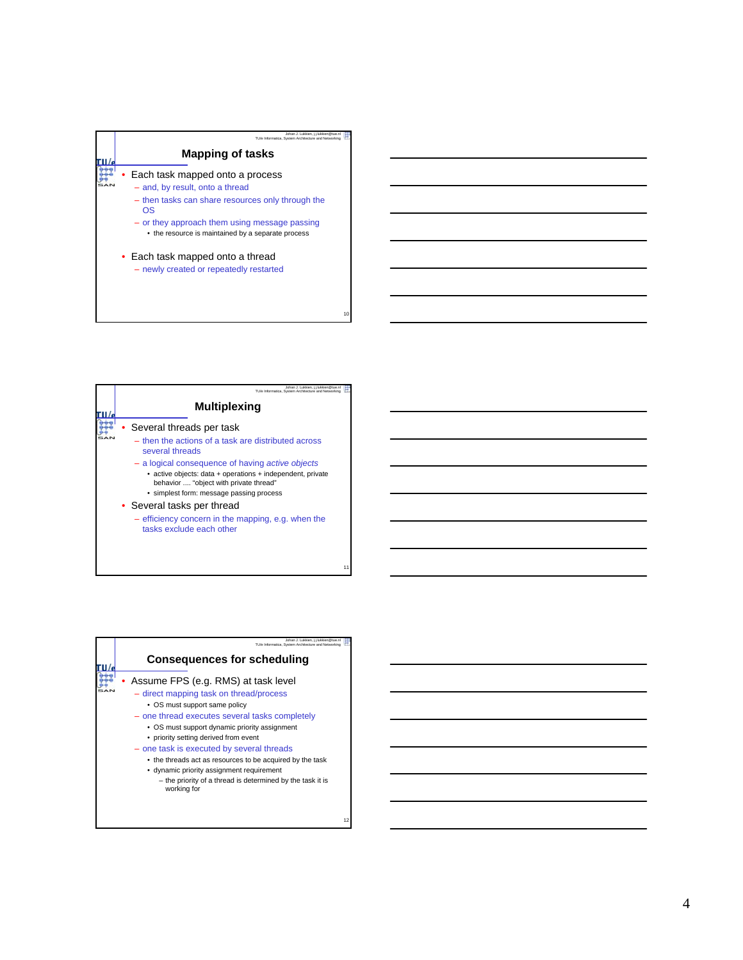

| Johan J. Lukkien, i.i.lukkien@tue.nl<br>TU/e Informatica, System Architecture and Networking                                                                                                                                                                                                                                                                                                                               |  |
|----------------------------------------------------------------------------------------------------------------------------------------------------------------------------------------------------------------------------------------------------------------------------------------------------------------------------------------------------------------------------------------------------------------------------|--|
| <b>Multiplexing</b>                                                                                                                                                                                                                                                                                                                                                                                                        |  |
| Several threads per task<br>- then the actions of a task are distributed across<br>several threads<br>- a logical consequence of having active objects<br>• active objects: data + operations + independent, private<br>behavior  "object with private thread"<br>• simplest form: message passing process<br>• Several tasks per thread<br>- efficiency concern in the mapping, e.g. when the<br>tasks exclude each other |  |
|                                                                                                                                                                                                                                                                                                                                                                                                                            |  |

| Johan J. Lukkien, j.j.lukkien@tue.nl<br>TU/e Informatica, System Architecture and Networking                                                                                          |
|---------------------------------------------------------------------------------------------------------------------------------------------------------------------------------------|
| <b>Consequences for scheduling</b>                                                                                                                                                    |
| Assume FPS (e.g. RMS) at task level<br>- direct mapping task on thread/process<br>• OS must support same policy                                                                       |
| - one thread executes several tasks completely<br>• OS must support dynamic priority assignment<br>• priority setting derived from event<br>- one task is executed by several threads |
| • the threads act as resources to be acquired by the task<br>• dynamic priority assignment requirement<br>- the priority of a thread is determined by the task it is<br>working for   |

12